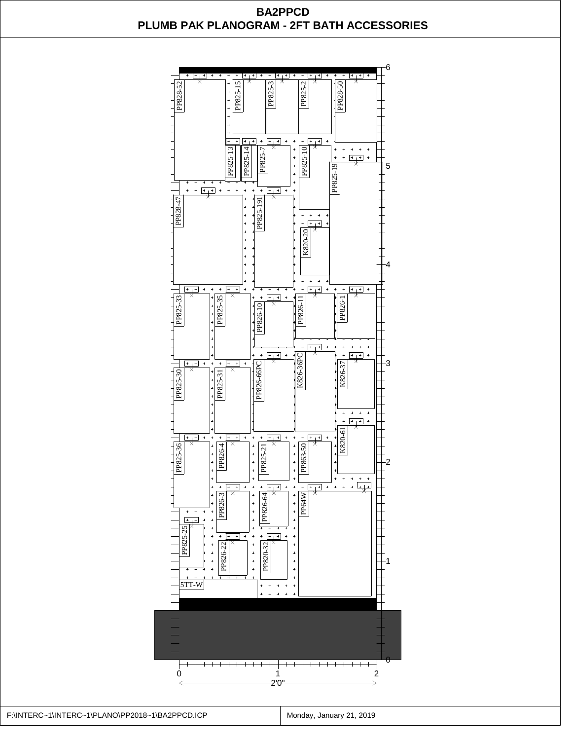